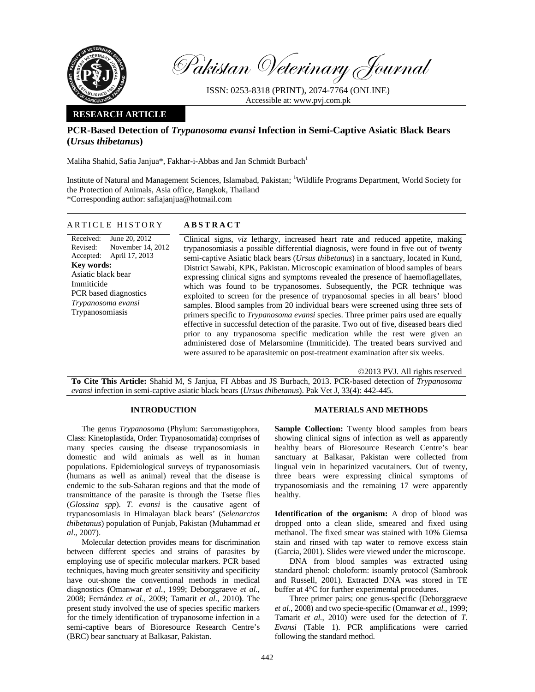

Pakistan Veterinary Journal

ISSN: 0253-8318 (PRINT), 2074-7764 (ONLINE) Accessible at: www.pvj.com.pk

## **RESEARCH ARTICLE**

# **PCR-Based Detection of** *Trypanosoma evansi* **Infection in Semi-Captive Asiatic Black Bears (***Ursus thibetanus***)**

Maliha Shahid, Safia Janjua\*, Fakhar-i-Abbas and Jan Schmidt Burbach<sup>1</sup>

Institute of Natural and Management Sciences, Islamabad, Pakistan; <sup>1</sup>Wildlife Programs Department, World Society for the Protection of Animals, Asia office, Bangkok, Thailand \*Corresponding author: safiajanjua@hotmail.com

### ARTICLE HISTORY **ABSTRACT**

Received: Revised: Accepted: June 20, 2012 November 14, 2012 April 17, 2013 **Key words:**  Asiatic black bear Immiticide PCR based diagnostics *Trypanosoma evansi*  Trypanosomiasis

 Clinical signs, *viz* lethargy, increased heart rate and reduced appetite, making trypanosomiasis a possible differential diagnosis, were found in five out of twenty semi-captive Asiatic black bears (*Ursus thibetanus*) in a sanctuary, located in Kund, District Sawabi, KPK, Pakistan. Microscopic examination of blood samples of bears expressing clinical signs and symptoms revealed the presence of haemoflagellates, which was found to be trypanosomes. Subsequently, the PCR technique was exploited to screen for the presence of trypanosomal species in all bears' blood samples. Blood samples from 20 individual bears were screened using three sets of primers specific to *Trypanosoma evansi* species. Three primer pairs used are equally effective in successful detection of the parasite. Two out of five, diseased bears died prior to any trypanosoma specific medication while the rest were given an administered dose of Melarsomine (Immiticide). The treated bears survived and were assured to be aparasitemic on post-treatment examination after six weeks.

©2013 PVJ. All rights reserved

**To Cite This Article:** Shahid M, S Janjua, FI Abbas and JS Burbach, 2013. PCR-based detection of *Trypanosoma evansi* infection in semi-captive asiatic black bears (*Ursus thibetanus*). Pak Vet J, 33(4): 442-445.

### **INTRODUCTION**

The genus *Trypanosoma* (Phylum: Sarcomastigophora, Class: Kinetoplastida, Order: Trypanosomatida) comprises of many species causing the disease trypanosomiasis in domestic and wild animals as well as in human populations. Epidemiological surveys of trypanosomiasis (humans as well as animal) reveal that the disease is endemic to the sub-Saharan regions and that the mode of transmittance of the parasite is through the Tsetse flies (*Glossina spp*). *T. evansi* is the causative agent of trypanosomiasis in Himalayan black bears' (*Selenarctos thibetanus*) population of Punjab, Pakistan (Muhammad *et al*., 2007).

Molecular detection provides means for discrimination between different species and strains of parasites by employing use of specific molecular markers. PCR based techniques, having much greater sensitivity and specificity have out-shone the conventional methods in medical diagnostics **(**Omanwar *et al.*, 1999; Deborggraeve *et al.*, 2008; Fernández *et al.*, 2009; Tamarit *et al.*, 2010**)**. The present study involved the use of species specific markers for the timely identification of trypanosome infection in a semi-captive bears of Bioresource Research Centre's (BRC) bear sanctuary at Balkasar, Pakistan.

#### **MATERIALS AND METHODS**

Sample Collection: Twenty blood samples from bears showing clinical signs of infection as well as apparently healthy bears of Bioresource Research Centre's bear sanctuary at Balkasar, Pakistan were collected from lingual vein in heparinized vacutainers. Out of twenty, three bears were expressing clinical symptoms of trypanosomiasis and the remaining 17 were apparently healthy.

**Identification of the organism:** A drop of blood was dropped onto a clean slide, smeared and fixed using methanol. The fixed smear was stained with 10% Giemsa stain and rinsed with tap water to remove excess stain (Garcia, 2001). Slides were viewed under the microscope.

DNA from blood samples was extracted using standard phenol: choloform: isoamly protocol (Sambrook and Russell, 2001). Extracted DNA was stored in TE buffer at 4°C for further experimental procedures.

Three primer pairs; one genus-specific (Deborggraeve *et al.*, 2008) and two specie-specific (Omanwar *et al.*, 1999; Tamarit *et al.*, 2010) were used for the detection of *T. Evansi* (Table 1). PCR amplifications were carried following the standard method.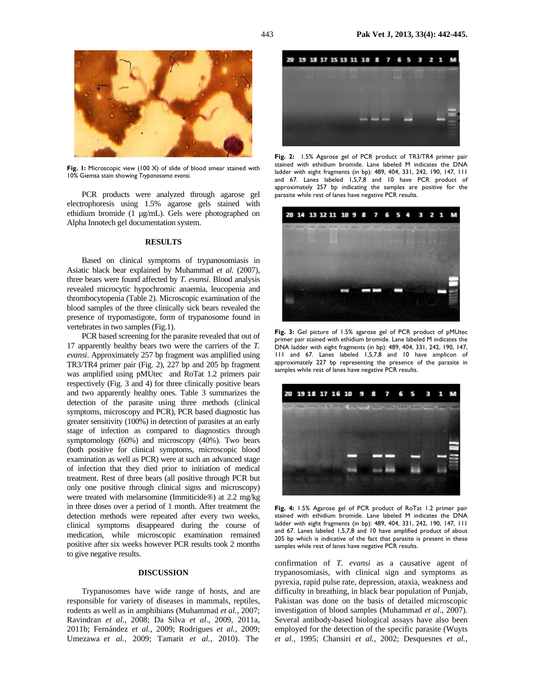

Fig. 1: Microscopic view (100 X) of slide of blood smear stained with 10% Giemsa stain showing *Trypanosoma evansi*.

PCR products were analyzed through agarose gel electrophoresis using 1.5% agarose gels stained with ethidium bromide (1 µg/mL). Gels were photographed on Alpha Innotech gel documentation system.

#### **RESULTS**

Based on clinical symptoms of trypanosomiasis in Asiatic black bear explained by Muhammad *et al.* (2007), three bears were found affected by *T. evansi*. Blood analysis revealed microcytic hypochromic anaemia, leucopenia and thrombocytopenia (Table 2). Microscopic examination of the blood samples of the three clinically sick bears revealed the presence of trypomastigote, form of trypanosome found in vertebrates in two samples (Fig.1).

PCR based screening for the parasite revealed that out of 17 apparently healthy bears two were the carriers of the *T. evansi*. Approximately 257 bp fragment was amplified using TR3/TR4 primer pair (Fig. 2), 227 bp and 205 bp fragment was amplified using pMUtec and RoTat 1.2 primers pair respectively (Fig. 3 and 4) for three clinically positive bears and two apparently healthy ones. Table 3 summarizes the detection of the parasite using three methods (clinical symptoms, microscopy and PCR), PCR based diagnostic has greater sensitivity (100%) in detection of parasites at an early stage of infection as compared to diagnostics through symptomology (60%) and microscopy (40%). Two bears (both positive for clinical symptoms, microscopic blood examination as well as PCR) were at such an advanced stage of infection that they died prior to initiation of medical treatment. Rest of three bears (all positive through PCR but only one positive through clinical signs and microscopy) were treated with melarsomine (Immiticide®) at 2.2 mg/kg in three doses over a period of 1 month. After treatment the detection methods were repeated after every two weeks, clinical symptoms disappeared during the course of medication, while microscopic examination remained positive after six weeks however PCR results took 2 months to give negative results.

## **DISCUSSION**

Trypanosomes have wide range of hosts, and are responsible for variety of diseases in mammals, reptiles, rodents as well as in amphibians (Muhammad *et al.,* 2007; Ravindran *et al.*, 2008; Da Silva *et al*., 2009, 2011a, 2011b; Fernández *et al.*, 2009; Rodrigues *et al.*, 2009; Umezawa *et al.,* 2009; Tamarit *et al.*, 2010). The



**Fig. 2:** 1.5% Agarose gel of PCR product of TR3/TR4 primer pair stained with ethidium bromide. Lane labeled M indicates the DNA ladder with eight fragments (in bp): 489, 404, 331, 242, 190, 147, 111 and 67. Lanes labeled 1,5,7,8 and 10 have PCR product of approximately 257 bp indicating the samples are positive for the parasite while rest of lanes have negative PCR results.



**Fig. 3:** Gel picture of 1.5% agarose gel of PCR product of pMUtec primer pair stained with ethidium bromide. Lane labeled M indicates the DNA ladder with eight fragments (in bp): 489, 404, 331, 242, 190, 147, 111 and 67. Lanes labeled 1,5,7,8 and 10 have amplicon of approximately 227 bp representing the presence of the parasite in samples while rest of lanes have negative PCR results.



**Fig. 4:** 1.5% Agarose gel of PCR product of RoTat 1.2 primer pair stained with ethidium bromide. Lane labeled M indicates the DNA ladder with eight fragments (in bp): 489, 404, 331, 242, 190, 147, 111 and 67. Lanes labeled 1,5,7,8 and 10 have amplified product of about 205 bp which is indicative of the fact that parasite is present in these samples while rest of lanes have negative PCR results.

confirmation of *T. evansi* as a causative agent of trypanosomiasis, with clinical sign and symptoms as pyrexia, rapid pulse rate, depression, ataxia, weakness and difficulty in breathing, in black bear population of Punjab, Pakistan was done on the basis of detailed microscopic investigation of blood samples (Muhammad *et al.*, 2007). Several antibody-based biological assays have also been employed for the detection of the specific parasite (Wuyts *et al.,* 1995; Chansiri *et al.*, 2002; Desquesnes *et al.*,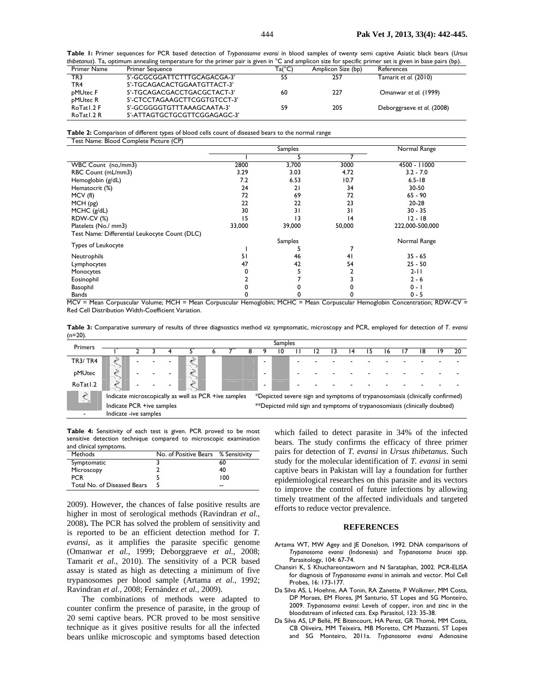**Table 1:** Primer sequences for PCR based detection of *Trypanosoma evansi* in blood samples of twenty semi captive Asiatic black bears (*Ursus thibetanus*). Ta, optimum annealing temperature for the primer pair is given in °C and amplicon size for specific primer set is given in base pairs (bp).

| Primer Name | <b>Primer Sequence</b>       | $Ta(^{\circ}C)$ | Amplicon Size (bp) | References                 |
|-------------|------------------------------|-----------------|--------------------|----------------------------|
| TR3.        | 5'-GCGCGGATTCTTTGCAGACGA-3'  | 55              | 257                | Tamarit et al. (2010)      |
| TR4         | 5'-TGCAGACACTGGAATGTTACT-3'  |                 |                    |                            |
| pMUtec F    | 5'-TGCAGACGACCTGACGCTACT-3'  | 60              | 227                | Omanwar et al. (1999)      |
| pMUtec R    | 5'-CTCCTAGAAGCTTCGGTGTCCT-3' |                 |                    |                            |
| RoTat I.2 F | 5'-GCGGGGTGTTTAAAGCAATA-3'   | 59              | 205                | Deborggraeve et al. (2008) |
| RoTatl.2 R  | 5'-ATTAGTGCTGCGTTCGGAGAGC-3' |                 |                    |                            |

**Table 2:** Comparison of different types of blood cells count of diseased bears to the normal range Test Name: Blood Complete Picture (CP)

|                                               |        | Samples | Normal Range |                 |  |
|-----------------------------------------------|--------|---------|--------------|-----------------|--|
|                                               |        |         |              |                 |  |
| WBC Count (no,/mm3)                           | 2800   | 3,700   | 3000         | 4500 - 11000    |  |
| RBC Count (mL/mm3)                            | 3.29   | 3.03    | 4.72         | $3.2 - 7.0$     |  |
| Hemoglobin (g/dL)                             | 7.2    | 6.53    | 10.7         | $6.5 - 18$      |  |
| Hematocrit (%)                                | 24     | 21      | 34           | $30 - 50$       |  |
| MCV(f)                                        | 72     | 69      | 72           | $65 - 90$       |  |
| MCH (pg)                                      | 22     | 22      | 23           | 20-28           |  |
| MCHC (g/dL)                                   | 30     | 31      | 31           | $30 - 35$       |  |
| <b>RDW-CV (%)</b>                             | 15     | 13      | 14           | $12 - 18$       |  |
| Platelets (No./ mm3)                          | 33,000 | 39,000  | 50,000       | 222,000-500,000 |  |
| Test Name: Differential Leukocyte Count (DLC) |        |         |              |                 |  |
| <b>Types of Leukocyte</b>                     |        | Samples | Normal Range |                 |  |
|                                               |        |         |              |                 |  |
| Neutrophils                                   | 51     | 46      | 41           | $35 - 65$       |  |
| Lymphocytes                                   | 47     | 42      | 54           | $25 - 50$       |  |
| Monocytes                                     |        |         |              | $2 - 11$        |  |
| Eosinophil                                    |        |         |              | $2 - 6$         |  |
| Basophil                                      |        |         |              | $0 - 1$         |  |
| Bands                                         |        |         |              | $0 - 5$         |  |

MCV = Mean Corpuscular Volume; MCH = Mean Corpuscular Hemoglobin; MCHC = Mean Corpuscular Hemoglobin Concentration; RDW-CV = Red Cell Distribution Width-Coefficient Variation.

**Table 3:** Comparative summary of results of three diagnostics method *viz* symptomatic, microscopy and PCR, employed for detection of *T*. *evansi* (n=20).

| Primers              | <b>Samples</b>            |  |  |  |                                                      |  |  |  |  |                                                                              |  |  |  |  |  |    |    |
|----------------------|---------------------------|--|--|--|------------------------------------------------------|--|--|--|--|------------------------------------------------------------------------------|--|--|--|--|--|----|----|
|                      |                           |  |  |  |                                                      |  |  |  |  |                                                                              |  |  |  |  |  | 18 | 20 |
| <b>TR3/TR4</b>       | <b>STANT</b>              |  |  |  |                                                      |  |  |  |  |                                                                              |  |  |  |  |  |    |    |
| pMUtec               | wing to                   |  |  |  |                                                      |  |  |  |  |                                                                              |  |  |  |  |  |    |    |
| RoTat <sub>1.2</sub> |                           |  |  |  |                                                      |  |  |  |  |                                                                              |  |  |  |  |  |    |    |
| $\mathcal{S}$        |                           |  |  |  | Indicate microscopically as well as PCR +ive samples |  |  |  |  | *Depicted severe sign and symptoms of trypanosomiasis (clinically confirmed) |  |  |  |  |  |    |    |
|                      | Indicate PCR +ive samples |  |  |  |                                                      |  |  |  |  | **Depicted mild sign and symptoms of trypanosomiasis (clinically doubted)    |  |  |  |  |  |    |    |
|                      | Indicate -ive samples     |  |  |  |                                                      |  |  |  |  |                                                                              |  |  |  |  |  |    |    |

**Table 4:** Sensitivity of each test is given. PCR proved to be most sensitive detection technique compared to microscopic examination and clinical symptoms.

| <b>Methods</b>              | No. of Positive Bears % Sensitivity |     |
|-----------------------------|-------------------------------------|-----|
| Symptomatic                 |                                     | 60  |
| Microscopy                  |                                     | 40  |
| <b>PCR</b>                  |                                     | 100 |
| Total No. of Diseased Bears |                                     | --  |

2009). However, the chances of false positive results are higher in most of serological methods (Ravindran *et al.,* 2008)**.** The PCR has solved the problem of sensitivity and is reported to be an efficient detection method for *T. evansi*, as it amplifies the parasite specific genome (Omanwar *et al.*, 1999; Deborggraeve *et al.*, 2008; Tamarit *et al.*, 2010). The sensitivity of a PCR based assay is stated as high as detecting a minimum of five trypanosomes per blood sample (Artama *et al.,* 1992; Ravindran *et al.,* 2008; Fernández *et al.,* 2009).

The combinations of methods were adapted to counter confirm the presence of parasite, in the group of 20 semi captive bears. PCR proved to be most sensitive technique as it gives positive results for all the infected bears unlike microscopic and symptoms based detection

which failed to detect parasite in 34% of the infected bears. The study confirms the efficacy of three primer pairs for detection of *T. evansi* in *Ursus thibetanus*. Such study for the molecular identification of *T. evansi* in semi captive bears in Pakistan will lay a foundation for further epidemiological researches on this parasite and its vectors to improve the control of future infections by allowing timely treatment of the affected individuals and targeted efforts to reduce vector prevalence.

#### **REFERENCES**

- Artama WT, MW Agey and JE Donelson, 1992. DNA comparisons of *Trypanosoma evansi* (Indonesia) and *Trypanosoma brucei spp*. Parasitology, 104: 67-74.
- Chansiri K, S Khuchareontaworn and N Sarataphan, 2002. PCR-ELISA for diagnosis of *Trypanosoma evansi* in animals and vector. Mol Cell Probes, 16: 173-177.
- Da Silva AS, L Hoehne, AA Tonin, RA Zanette, P Wolkmer, MM Costa, DP Moraes, EM Flores, JM Santurio, ST Lopes and SG Monteiro, 2009. *Trypanosoma evansi*: Levels of copper, iron and zinc in the bloodstream of infected cats. Exp Parasitol, 123: 35-38.
- Da Silva AS, LP Bellé, PE Bitencourt, HA Perez, GR Thomé, MM Costa, CB Oliveira, MM Teixeira, MB Moretto, CM Mazzanti, ST Lopes and SG Monteiro, 2011a. *Trypanosoma evansi* Adenosine